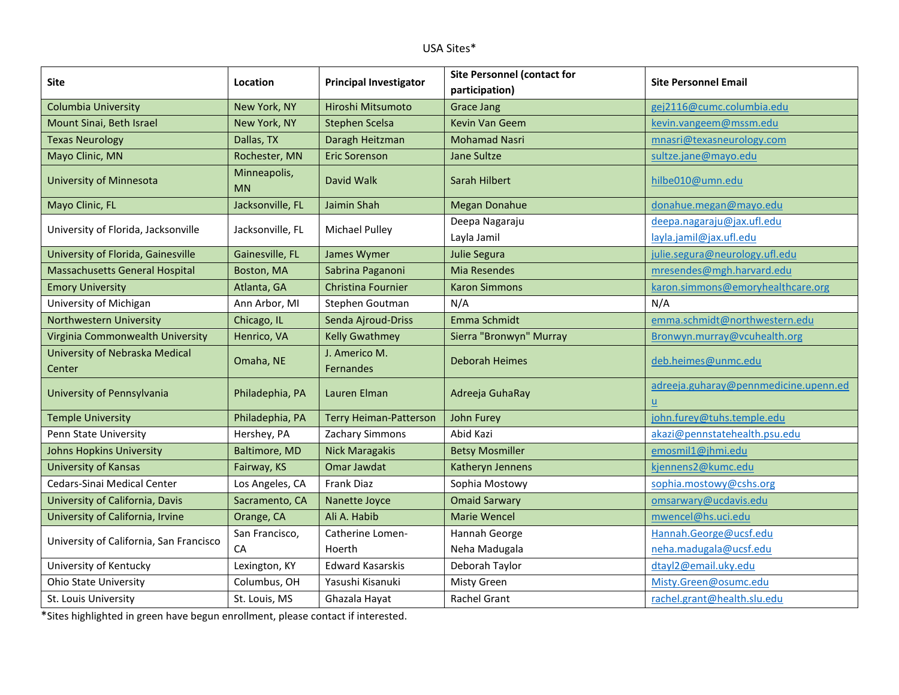## USA Sites\*

| Site                                     | Location                  | <b>Principal Investigator</b> | <b>Site Personnel (contact for</b> | <b>Site Personnel Email</b>                              |
|------------------------------------------|---------------------------|-------------------------------|------------------------------------|----------------------------------------------------------|
|                                          |                           |                               | participation)                     |                                                          |
| Columbia University                      | New York, NY              | Hiroshi Mitsumoto             | <b>Grace Jang</b>                  | gej2116@cumc.columbia.edu                                |
| Mount Sinai, Beth Israel                 | New York, NY              | <b>Stephen Scelsa</b>         | <b>Kevin Van Geem</b>              | kevin.vangeem@mssm.edu                                   |
| <b>Texas Neurology</b>                   | Dallas, TX                | Daragh Heitzman               | <b>Mohamad Nasri</b>               | mnasri@texasneurology.com                                |
| Mayo Clinic, MN                          | Rochester, MN             | <b>Eric Sorenson</b>          | <b>Jane Sultze</b>                 | sultze.jane@mayo.edu                                     |
| University of Minnesota                  | Minneapolis,<br><b>MN</b> | David Walk                    | Sarah Hilbert                      | hilbe010@umn.edu                                         |
| Mayo Clinic, FL                          | Jacksonville, FL          | Jaimin Shah                   | <b>Megan Donahue</b>               | donahue.megan@mayo.edu                                   |
| University of Florida, Jacksonville      | Jacksonville, FL          | <b>Michael Pulley</b>         | Deepa Nagaraju                     | deepa.nagaraju@jax.ufl.edu                               |
|                                          |                           |                               | Layla Jamil                        | layla.jamil@jax.ufl.edu                                  |
| University of Florida, Gainesville       | Gainesville, FL           | James Wymer                   | <b>Julie Segura</b>                | julie.segura@neurology.ufl.edu                           |
| <b>Massachusetts General Hospital</b>    | Boston, MA                | Sabrina Paganoni              | <b>Mia Resendes</b>                | mresendes@mgh.harvard.edu                                |
| <b>Emory University</b>                  | Atlanta, GA               | <b>Christina Fournier</b>     | <b>Karon Simmons</b>               | karon.simmons@emoryhealthcare.org                        |
| University of Michigan                   | Ann Arbor, MI             | Stephen Goutman               | N/A                                | N/A                                                      |
| Northwestern University                  | Chicago, IL               | Senda Ajroud-Driss            | Emma Schmidt                       | emma.schmidt@northwestern.edu                            |
| Virginia Commonwealth University         | Henrico, VA               | <b>Kelly Gwathmey</b>         | Sierra "Bronwyn" Murray            | Bronwyn.murray@vcuhealth.org                             |
| University of Nebraska Medical<br>Center | Omaha, NE                 | J. Americo M.<br>Fernandes    | <b>Deborah Heimes</b>              | deb.heimes@unmc.edu                                      |
| University of Pennsylvania               | Philadephia, PA           | Lauren Elman                  | Adreeja GuhaRay                    | adreeja.guharay@pennmedicine.upenn.ed<br>$\underline{u}$ |
| <b>Temple University</b>                 | Philadephia, PA           | <b>Terry Heiman-Patterson</b> | John Furey                         | john.furey@tuhs.temple.edu                               |
| Penn State University                    | Hershey, PA               | Zachary Simmons               | Abid Kazi                          | akazi@pennstatehealth.psu.edu                            |
| <b>Johns Hopkins University</b>          | Baltimore, MD             | <b>Nick Maragakis</b>         | <b>Betsy Mosmiller</b>             | emosmil1@jhmi.edu                                        |
| <b>University of Kansas</b>              | Fairway, KS               | Omar Jawdat                   | Katheryn Jennens                   | kjennens2@kumc.edu                                       |
| Cedars-Sinai Medical Center              | Los Angeles, CA           | Frank Diaz                    | Sophia Mostowy                     | sophia.mostowy@cshs.org                                  |
| University of California, Davis          | Sacramento, CA            | Nanette Joyce                 | <b>Omaid Sarwary</b>               | omsarwary@ucdavis.edu                                    |
| University of California, Irvine         | Orange, CA                | Ali A. Habib                  | <b>Marie Wencel</b>                | mwencel@hs.uci.edu                                       |
| University of California, San Francisco  | San Francisco,            | Catherine Lomen-              | Hannah George                      | Hannah.George@ucsf.edu                                   |
|                                          | CA                        | Hoerth                        | Neha Madugala                      | neha.madugala@ucsf.edu                                   |
| University of Kentucky                   | Lexington, KY             | <b>Edward Kasarskis</b>       | Deborah Taylor                     | dtayl2@email.uky.edu                                     |
| <b>Ohio State University</b>             | Columbus, OH              | Yasushi Kisanuki              | Misty Green                        | Misty.Green@osumc.edu                                    |
| St. Louis University                     | St. Louis, MS             | Ghazala Hayat                 | Rachel Grant                       | rachel.grant@health.slu.edu                              |

\*Sites highlighted in green have begun enrollment, please contact if interested.